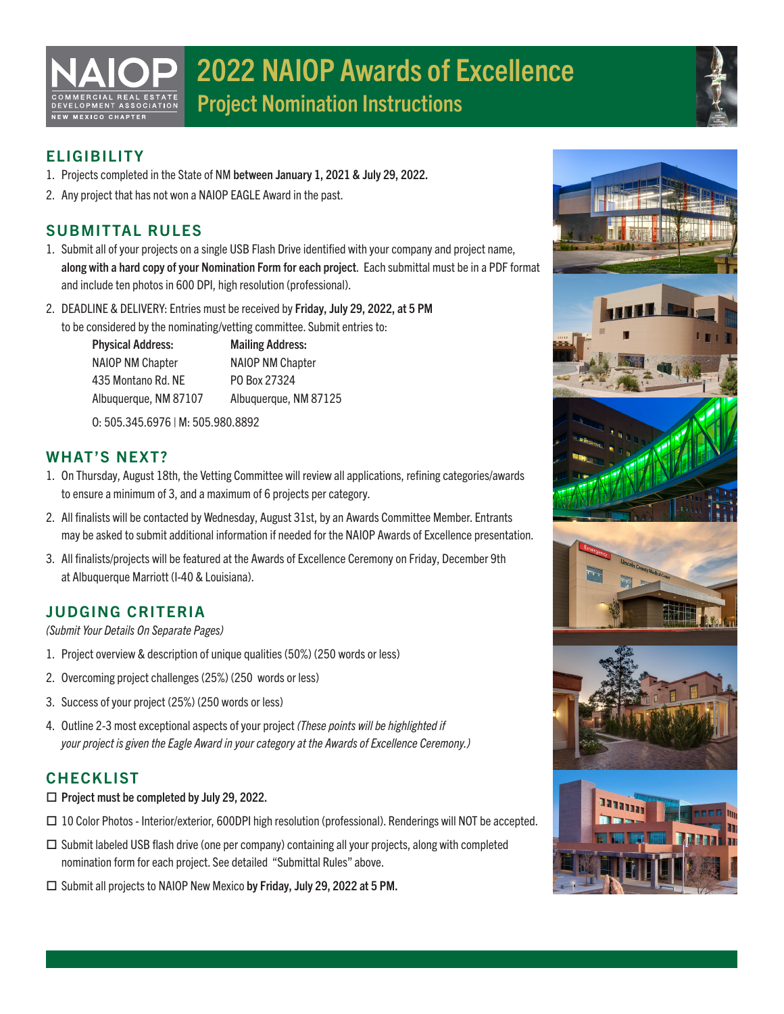# 2022 NAIOP Awards of Excellence Project Nomination Instructions



## **ELIGIBILITY**

NEW MEXICO CHAPTER

- 1. Projects completed in the State of NM between January 1, 2021 & July 29, 2022.
- 2. Any project that has not won a NAIOP EAGLE Award in the past.

## SUBMITTAL RULES

- 1. Submit all of your projects on a single USB Flash Drive identified with your company and project name, along with a hard copy of your Nomination Form for each project. Each submittal must be in a PDF format and include ten photos in 600 DPI, high resolution (professional).
- 2. DEADLINE & DELIVERY: Entries must be received by Friday, July 29, 2022, at 5 PM to be considered by the nominating/vetting committee. Submit entries to:

 Physical Address: Mailing Address: NAIOP NM Chapter NAIOP NM Chapter 435 Montano Rd. NE PO Box 27324 Albuquerque, NM 87107 Albuquerque, NM 87125

O: 505.345.6976 | M: 505.980.8892

### WHAT'S NEXT?

- 1. On Thursday, August 18th, the Vetting Committee will review all applications, refining categories/awards to ensure a minimum of 3, and a maximum of 6 projects per category.
- 2. All finalists will be contacted by Wednesday, August 31st, by an Awards Committee Member. Entrants may be asked to submit additional information if needed for the NAIOP Awards of Excellence presentation.
- 3. All finalists/projects will be featured at the Awards of Excellence Ceremony on Friday, December 9th at Albuquerque Marriott (I-40 & Louisiana).

## JUDGING CRITERIA

*(Submit Your Details On Separate Pages)*

- 1. Project overview & description of unique qualities (50%) (250 words or less)
- 2. Overcoming project challenges (25%) (250 words or less)
- 3. Success of your project (25%) (250 words or less)
- 4. Outline 2-3 most exceptional aspects of your project *(These points will be highlighted if your project is given the Eagle Award in your category at the Awards of Excellence Ceremony.)*

## CHECKLIST

- $\Box$  Project must be completed by July 29, 2022.
- 10 Color Photos Interior/exterior, 600DPI high resolution (professional). Renderings will NOT be accepted.
- $\Box$  Submit labeled USB flash drive (one per company) containing all your projects, along with completed nomination form for each project. See detailed "Submittal Rules" above.
- □ Submit all projects to NAIOP New Mexico by Friday, July 29, 2022 at 5 PM.